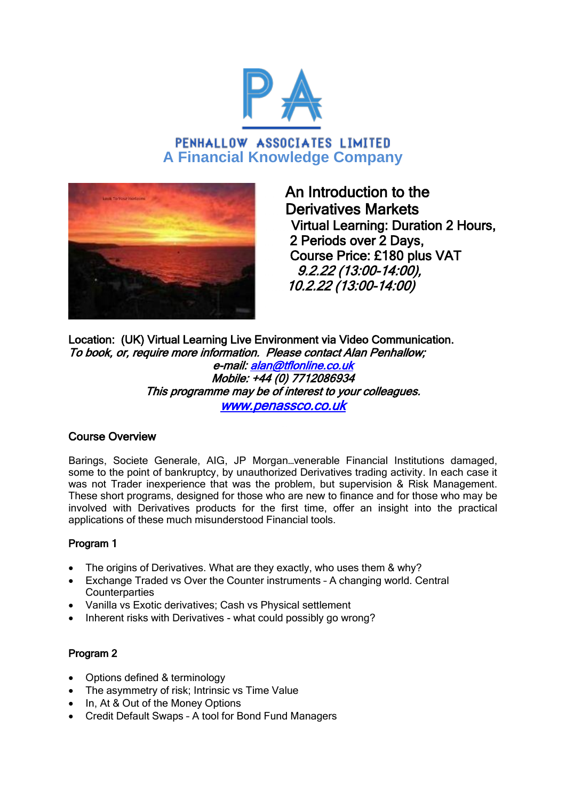

# PENHALLOW ASSOCIATES LIMITED **A Financial Knowledge Company**



 An Introduction to the Derivatives Markets Virtual Learning: Duration 2 Hours, 2 Periods over 2 Days, Course Price: £180 plus VAT 9.2.22 (13:00-14:00), 10.2.22 (13:00-14:00)

Location: (UK) Virtual Learning Live Environment via Video Communication. To book, or, require more information. Please contact Alan Penhallow; e-mail: [alan@tflonline.co.uk](mailto:alan@tflonline.co.uk)  Mobile: +44 (0) 7712086934 This programme may be of interest to your colleagues. [www.penassco.co.uk](http://www.penassco.co.uk/)

# Course Overview

Barings, Societe Generale, AIG, JP Morgan…venerable Financial Institutions damaged, some to the point of bankruptcy, by unauthorized Derivatives trading activity. In each case it was not Trader inexperience that was the problem, but supervision & Risk Management. These short programs, designed for those who are new to finance and for those who may be involved with Derivatives products for the first time, offer an insight into the practical applications of these much misunderstood Financial tools.

# Program 1

- The origins of Derivatives. What are they exactly, who uses them & why?
- Exchange Traded vs Over the Counter instruments A changing world. Central **Counterparties**
- Vanilla vs Exotic derivatives; Cash vs Physical settlement
- Inherent risks with Derivatives what could possibly go wrong?

## Program 2

- Options defined & terminology
- The asymmetry of risk; Intrinsic vs Time Value
- In, At & Out of the Money Options
- Credit Default Swaps A tool for Bond Fund Managers